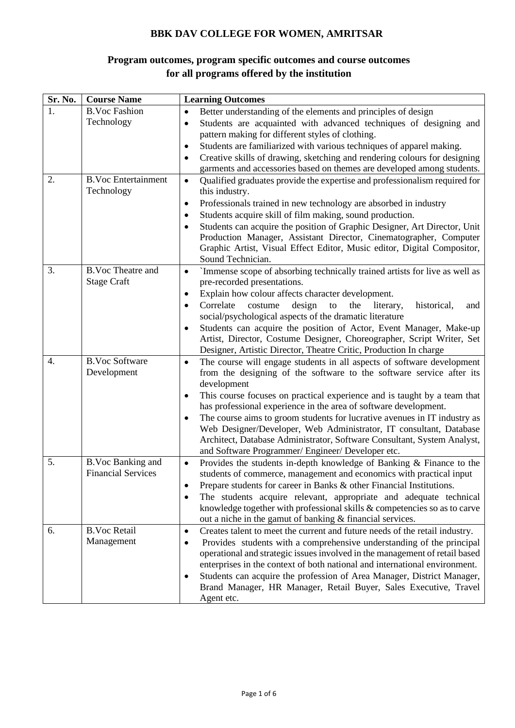## **BBK DAV COLLEGE FOR WOMEN, AMRITSAR**

## **Program outcomes, program specific outcomes and course outcomes for all programs offered by the institution**

| Sr. No. | <b>Course Name</b>                       | <b>Learning Outcomes</b>                                                                                                                                                                   |
|---------|------------------------------------------|--------------------------------------------------------------------------------------------------------------------------------------------------------------------------------------------|
| 1.      | <b>B.Voc Fashion</b>                     | Better understanding of the elements and principles of design<br>$\bullet$                                                                                                                 |
|         | Technology                               | Students are acquainted with advanced techniques of designing and<br>$\bullet$                                                                                                             |
|         |                                          | pattern making for different styles of clothing.                                                                                                                                           |
|         |                                          | Students are familiarized with various techniques of apparel making.<br>$\bullet$                                                                                                          |
|         |                                          | Creative skills of drawing, sketching and rendering colours for designing<br>$\bullet$                                                                                                     |
|         |                                          | garments and accessories based on themes are developed among students.                                                                                                                     |
| 2.      | <b>B.Voc Entertainment</b><br>Technology | Qualified graduates provide the expertise and professionalism required for<br>$\bullet$<br>this industry.<br>Professionals trained in new technology are absorbed in industry<br>$\bullet$ |
|         |                                          | Students acquire skill of film making, sound production.<br>$\bullet$                                                                                                                      |
|         |                                          | Students can acquire the position of Graphic Designer, Art Director, Unit<br>$\bullet$                                                                                                     |
|         |                                          | Production Manager, Assistant Director, Cinematographer, Computer                                                                                                                          |
|         |                                          | Graphic Artist, Visual Effect Editor, Music editor, Digital Compositor,                                                                                                                    |
|         |                                          | Sound Technician.                                                                                                                                                                          |
| 3.      | <b>B.Voc Theatre and</b>                 | `Immense scope of absorbing technically trained artists for live as well as<br>$\bullet$                                                                                                   |
|         | <b>Stage Craft</b>                       | pre-recorded presentations.                                                                                                                                                                |
|         |                                          | Explain how colour affects character development.<br>٠                                                                                                                                     |
|         |                                          | Correlate<br>costume<br>design<br>the<br>literary,<br>historical,<br>to<br>and<br>$\bullet$                                                                                                |
|         |                                          | social/psychological aspects of the dramatic literature                                                                                                                                    |
|         |                                          | Students can acquire the position of Actor, Event Manager, Make-up<br>$\bullet$                                                                                                            |
|         |                                          | Artist, Director, Costume Designer, Choreographer, Script Writer, Set                                                                                                                      |
|         | <b>B.Voc Software</b>                    | Designer, Artistic Director, Theatre Critic, Production In charge                                                                                                                          |
| 4.      | Development                              | The course will engage students in all aspects of software development<br>$\bullet$<br>from the designing of the software to the software service after its<br>development                 |
|         |                                          | This course focuses on practical experience and is taught by a team that<br>$\bullet$                                                                                                      |
|         |                                          | has professional experience in the area of software development.                                                                                                                           |
|         |                                          | The course aims to groom students for lucrative avenues in IT industry as<br>$\bullet$                                                                                                     |
|         |                                          | Web Designer/Developer, Web Administrator, IT consultant, Database                                                                                                                         |
|         |                                          | Architect, Database Administrator, Software Consultant, System Analyst,<br>and Software Programmer/Engineer/Developer etc.                                                                 |
| 5.      | B.Voc Banking and                        | Provides the students in-depth knowledge of Banking & Finance to the<br>$\bullet$                                                                                                          |
|         | <b>Financial Services</b>                | students of commerce, management and economics with practical input                                                                                                                        |
|         |                                          | Prepare students for career in Banks & other Financial Institutions.                                                                                                                       |
|         |                                          | The students acquire relevant, appropriate and adequate technical                                                                                                                          |
|         |                                          | knowledge together with professional skills & competencies so as to carve                                                                                                                  |
|         |                                          | out a niche in the gamut of banking & financial services.                                                                                                                                  |
| 6.      | <b>B.Voc Retail</b>                      | Creates talent to meet the current and future needs of the retail industry.<br>$\bullet$                                                                                                   |
|         | Management                               | Provides students with a comprehensive understanding of the principal<br>٠                                                                                                                 |
|         |                                          | operational and strategic issues involved in the management of retail based                                                                                                                |
|         |                                          | enterprises in the context of both national and international environment.                                                                                                                 |
|         |                                          | Students can acquire the profession of Area Manager, District Manager,<br>٠                                                                                                                |
|         |                                          | Brand Manager, HR Manager, Retail Buyer, Sales Executive, Travel                                                                                                                           |
|         |                                          | Agent etc.                                                                                                                                                                                 |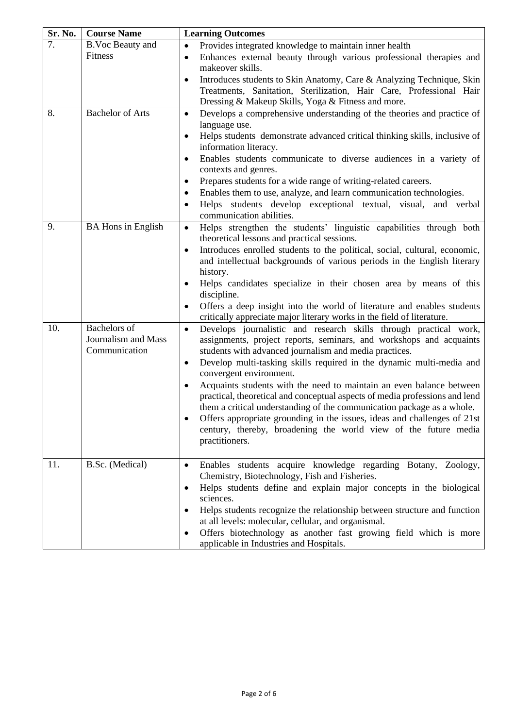| Sr. No. | <b>Course Name</b>                                          | <b>Learning Outcomes</b>                                                                                                                                                                                                                                                                                                                                                                                                                                                                                                                                                                                                                                                                                                                       |
|---------|-------------------------------------------------------------|------------------------------------------------------------------------------------------------------------------------------------------------------------------------------------------------------------------------------------------------------------------------------------------------------------------------------------------------------------------------------------------------------------------------------------------------------------------------------------------------------------------------------------------------------------------------------------------------------------------------------------------------------------------------------------------------------------------------------------------------|
| 7.      | <b>B.Voc Beauty and</b>                                     | Provides integrated knowledge to maintain inner health<br>$\bullet$                                                                                                                                                                                                                                                                                                                                                                                                                                                                                                                                                                                                                                                                            |
|         | Fitness                                                     | Enhances external beauty through various professional therapies and<br>$\bullet$<br>makeover skills.                                                                                                                                                                                                                                                                                                                                                                                                                                                                                                                                                                                                                                           |
|         |                                                             | Introduces students to Skin Anatomy, Care & Analyzing Technique, Skin<br>$\bullet$<br>Treatments, Sanitation, Sterilization, Hair Care, Professional Hair<br>Dressing & Makeup Skills, Yoga & Fitness and more.                                                                                                                                                                                                                                                                                                                                                                                                                                                                                                                                |
| 8.      | <b>Bachelor of Arts</b>                                     | Develops a comprehensive understanding of the theories and practice of<br>$\bullet$<br>language use.<br>Helps students demonstrate advanced critical thinking skills, inclusive of<br>$\bullet$<br>information literacy.                                                                                                                                                                                                                                                                                                                                                                                                                                                                                                                       |
|         |                                                             | Enables students communicate to diverse audiences in a variety of<br>$\bullet$<br>contexts and genres.<br>Prepares students for a wide range of writing-related careers.<br>٠<br>Enables them to use, analyze, and learn communication technologies.<br>٠                                                                                                                                                                                                                                                                                                                                                                                                                                                                                      |
|         |                                                             | Helps students develop exceptional textual, visual, and verbal<br>$\bullet$<br>communication abilities.                                                                                                                                                                                                                                                                                                                                                                                                                                                                                                                                                                                                                                        |
| 9.      | <b>BA Hons in English</b>                                   | Helps strengthen the students' linguistic capabilities through both<br>$\bullet$<br>theoretical lessons and practical sessions.<br>Introduces enrolled students to the political, social, cultural, economic,<br>$\bullet$<br>and intellectual backgrounds of various periods in the English literary<br>history.<br>Helps candidates specialize in their chosen area by means of this<br>$\bullet$<br>discipline.<br>Offers a deep insight into the world of literature and enables students<br>٠<br>critically appreciate major literary works in the field of literature.                                                                                                                                                                   |
| 10.     | <b>Bachelors</b> of<br>Journalism and Mass<br>Communication | Develops journalistic and research skills through practical work,<br>$\bullet$<br>assignments, project reports, seminars, and workshops and acquaints<br>students with advanced journalism and media practices.<br>Develop multi-tasking skills required in the dynamic multi-media and<br>$\bullet$<br>convergent environment.<br>Acquaints students with the need to maintain an even balance between<br>$\bullet$<br>practical, theoretical and conceptual aspects of media professions and lend<br>them a critical understanding of the communication package as a whole.<br>Offers appropriate grounding in the issues, ideas and challenges of 21st<br>century, thereby, broadening the world view of the future media<br>practitioners. |
| 11.     | B.Sc. (Medical)                                             | Enables students acquire knowledge regarding Botany, Zoology,<br>$\bullet$<br>Chemistry, Biotechnology, Fish and Fisheries.<br>Helps students define and explain major concepts in the biological<br>٠<br>sciences.<br>Helps students recognize the relationship between structure and function<br>٠<br>at all levels: molecular, cellular, and organismal.<br>Offers biotechnology as another fast growing field which is more<br>٠<br>applicable in Industries and Hospitals.                                                                                                                                                                                                                                                                |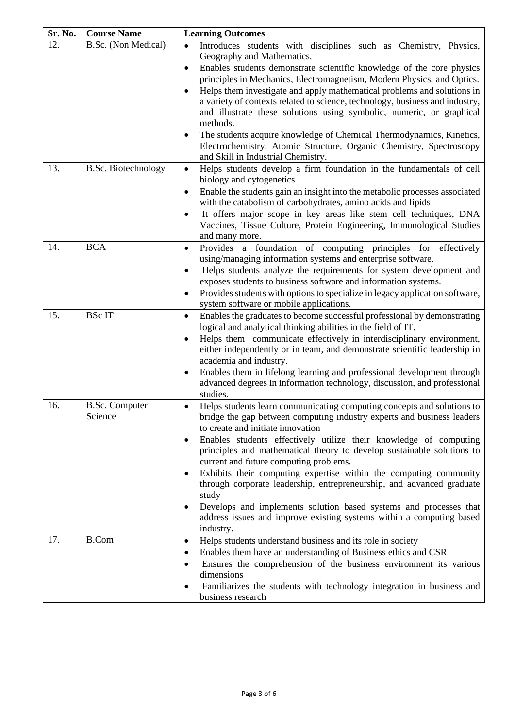| Sr. No. | <b>Course Name</b>    | <b>Learning Outcomes</b>                                                                                                                                |
|---------|-----------------------|---------------------------------------------------------------------------------------------------------------------------------------------------------|
| 12.     | B.Sc. (Non Medical)   | Introduces students with disciplines such as Chemistry, Physics,<br>$\bullet$                                                                           |
|         |                       | Geography and Mathematics.                                                                                                                              |
|         |                       | Enables students demonstrate scientific knowledge of the core physics<br>$\bullet$                                                                      |
|         |                       | principles in Mechanics, Electromagnetism, Modern Physics, and Optics.                                                                                  |
|         |                       | Helps them investigate and apply mathematical problems and solutions in<br>$\bullet$                                                                    |
|         |                       | a variety of contexts related to science, technology, business and industry,<br>and illustrate these solutions using symbolic, numeric, or graphical    |
|         |                       | methods.                                                                                                                                                |
|         |                       | The students acquire knowledge of Chemical Thermodynamics, Kinetics,<br>٠                                                                               |
|         |                       | Electrochemistry, Atomic Structure, Organic Chemistry, Spectroscopy                                                                                     |
|         |                       | and Skill in Industrial Chemistry.                                                                                                                      |
| 13.     | B.Sc. Biotechnology   | Helps students develop a firm foundation in the fundamentals of cell<br>$\bullet$                                                                       |
|         |                       | biology and cytogenetics                                                                                                                                |
|         |                       | Enable the students gain an insight into the metabolic processes associated<br>$\bullet$                                                                |
|         |                       | with the catabolism of carbohydrates, amino acids and lipids                                                                                            |
|         |                       | It offers major scope in key areas like stem cell techniques, DNA<br>٠                                                                                  |
|         |                       | Vaccines, Tissue Culture, Protein Engineering, Immunological Studies                                                                                    |
| 14.     | <b>BCA</b>            | and many more.                                                                                                                                          |
|         |                       | Provides a foundation of computing principles for effectively<br>$\bullet$<br>using/managing information systems and enterprise software.               |
|         |                       | Helps students analyze the requirements for system development and<br>٠                                                                                 |
|         |                       | exposes students to business software and information systems.                                                                                          |
|         |                       | Provides students with options to specialize in legacy application software,<br>$\bullet$                                                               |
|         |                       | system software or mobile applications.                                                                                                                 |
| 15.     | <b>BSc IT</b>         | Enables the graduates to become successful professional by demonstrating<br>$\bullet$                                                                   |
|         |                       | logical and analytical thinking abilities in the field of IT.                                                                                           |
|         |                       | Helps them communicate effectively in interdisciplinary environment,<br>$\bullet$                                                                       |
|         |                       | either independently or in team, and demonstrate scientific leadership in                                                                               |
|         |                       | academia and industry.<br>Enables them in lifelong learning and professional development through<br>$\bullet$                                           |
|         |                       | advanced degrees in information technology, discussion, and professional                                                                                |
|         |                       | studies.                                                                                                                                                |
| 16.     | <b>B.Sc. Computer</b> | Helps students learn communicating computing concepts and solutions to<br>$\bullet$                                                                     |
|         | Science               | bridge the gap between computing industry experts and business leaders                                                                                  |
|         |                       | to create and initiate innovation                                                                                                                       |
|         |                       | Enables students effectively utilize their knowledge of computing<br>$\bullet$                                                                          |
|         |                       | principles and mathematical theory to develop sustainable solutions to                                                                                  |
|         |                       | current and future computing problems.                                                                                                                  |
|         |                       | Exhibits their computing expertise within the computing community<br>$\bullet$<br>through corporate leadership, entrepreneurship, and advanced graduate |
|         |                       | study                                                                                                                                                   |
|         |                       | Develops and implements solution based systems and processes that<br>$\bullet$                                                                          |
|         |                       | address issues and improve existing systems within a computing based                                                                                    |
|         |                       | industry.                                                                                                                                               |
| 17.     | <b>B.Com</b>          | Helps students understand business and its role in society<br>$\bullet$                                                                                 |
|         |                       | Enables them have an understanding of Business ethics and CSR<br>٠                                                                                      |
|         |                       | Ensures the comprehension of the business environment its various<br>$\bullet$                                                                          |
|         |                       | dimensions                                                                                                                                              |
|         |                       | Familiarizes the students with technology integration in business and                                                                                   |
|         |                       | business research                                                                                                                                       |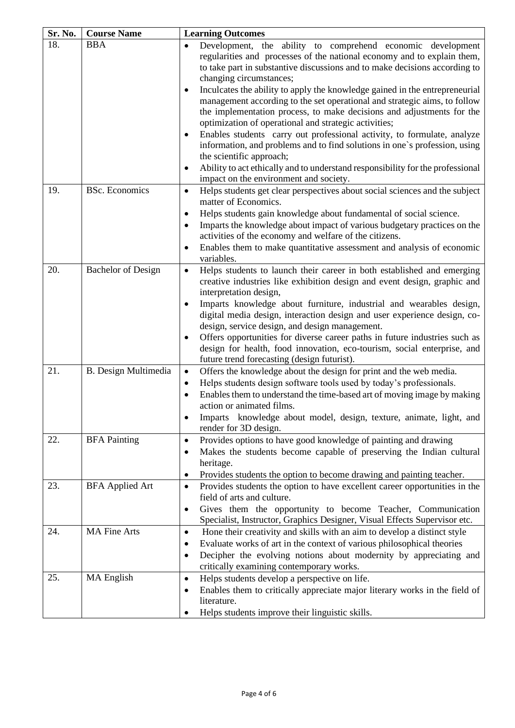| Sr. No. | <b>Course Name</b>          | <b>Learning Outcomes</b>                                                                                                                                                                                                                                                                                                                                                                                                                                                                                                                                                                                                                                                                                                                                                                                                                    |
|---------|-----------------------------|---------------------------------------------------------------------------------------------------------------------------------------------------------------------------------------------------------------------------------------------------------------------------------------------------------------------------------------------------------------------------------------------------------------------------------------------------------------------------------------------------------------------------------------------------------------------------------------------------------------------------------------------------------------------------------------------------------------------------------------------------------------------------------------------------------------------------------------------|
| 18.     | <b>BBA</b>                  | Development, the ability to comprehend economic development<br>$\bullet$<br>regularities and processes of the national economy and to explain them,<br>to take part in substantive discussions and to make decisions according to<br>changing circumstances;<br>Inculcates the ability to apply the knowledge gained in the entrepreneurial<br>٠<br>management according to the set operational and strategic aims, to follow<br>the implementation process, to make decisions and adjustments for the<br>optimization of operational and strategic activities;<br>Enables students carry out professional activity, to formulate, analyze<br>information, and problems and to find solutions in one's profession, using<br>the scientific approach;<br>Ability to act ethically and to understand responsibility for the professional<br>٠ |
| 19.     | <b>BSc.</b> Economics       | impact on the environment and society.<br>Helps students get clear perspectives about social sciences and the subject<br>$\bullet$<br>matter of Economics.<br>Helps students gain knowledge about fundamental of social science.<br>$\bullet$<br>Imparts the knowledge about impact of various budgetary practices on the<br>$\bullet$<br>activities of the economy and welfare of the citizens.<br>Enables them to make quantitative assessment and analysis of economic<br>٠<br>variables.                                                                                                                                                                                                                                                                                                                                                |
| 20.     | <b>Bachelor of Design</b>   | Helps students to launch their career in both established and emerging<br>$\bullet$<br>creative industries like exhibition design and event design, graphic and<br>interpretation design,<br>Imparts knowledge about furniture, industrial and wearables design,<br>$\bullet$<br>digital media design, interaction design and user experience design, co-<br>design, service design, and design management.<br>Offers opportunities for diverse career paths in future industries such as<br>design for health, food innovation, eco-tourism, social enterprise, and<br>future trend forecasting (design futurist).                                                                                                                                                                                                                         |
| 21.     | <b>B.</b> Design Multimedia | Offers the knowledge about the design for print and the web media.<br>$\bullet$<br>Helps students design software tools used by today's professionals.<br>$\bullet$<br>Enables them to understand the time-based art of moving image by making<br>$\bullet$<br>action or animated films.<br>Imparts knowledge about model, design, texture, animate, light, and<br>$\bullet$<br>render for 3D design.                                                                                                                                                                                                                                                                                                                                                                                                                                       |
| 22.     | <b>BFA Painting</b>         | Provides options to have good knowledge of painting and drawing<br>$\bullet$<br>Makes the students become capable of preserving the Indian cultural<br>٠<br>heritage.<br>Provides students the option to become drawing and painting teacher.<br>$\bullet$                                                                                                                                                                                                                                                                                                                                                                                                                                                                                                                                                                                  |
| 23.     | <b>BFA</b> Applied Art      | Provides students the option to have excellent career opportunities in the<br>$\bullet$<br>field of arts and culture.<br>Gives them the opportunity to become Teacher, Communication<br>٠<br>Specialist, Instructor, Graphics Designer, Visual Effects Supervisor etc.                                                                                                                                                                                                                                                                                                                                                                                                                                                                                                                                                                      |
| 24.     | <b>MA Fine Arts</b>         | Hone their creativity and skills with an aim to develop a distinct style<br>$\bullet$<br>Evaluate works of art in the context of various philosophical theories<br>٠<br>Decipher the evolving notions about modernity by appreciating and<br>٠<br>critically examining contemporary works.                                                                                                                                                                                                                                                                                                                                                                                                                                                                                                                                                  |
| 25.     | <b>MA</b> English           | Helps students develop a perspective on life.<br>$\bullet$<br>Enables them to critically appreciate major literary works in the field of<br>$\bullet$<br>literature.<br>Helps students improve their linguistic skills.                                                                                                                                                                                                                                                                                                                                                                                                                                                                                                                                                                                                                     |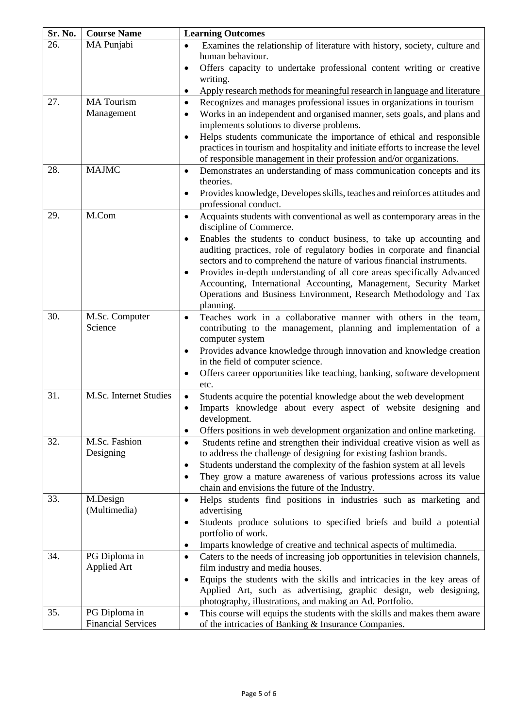| Sr. No. | <b>Course Name</b>        | <b>Learning Outcomes</b>                                                                                                                                  |
|---------|---------------------------|-----------------------------------------------------------------------------------------------------------------------------------------------------------|
| 26.     | MA Punjabi                | Examines the relationship of literature with history, society, culture and<br>$\bullet$                                                                   |
|         |                           | human behaviour.                                                                                                                                          |
|         |                           | Offers capacity to undertake professional content writing or creative<br>$\bullet$                                                                        |
|         |                           | writing.                                                                                                                                                  |
|         |                           | Apply research methods for meaningful research in language and literature<br>$\bullet$                                                                    |
| 27.     | <b>MA</b> Tourism         | Recognizes and manages professional issues in organizations in tourism<br>$\bullet$                                                                       |
|         | Management                | Works in an independent and organised manner, sets goals, and plans and<br>$\bullet$                                                                      |
|         |                           | implements solutions to diverse problems.<br>Helps students communicate the importance of ethical and responsible                                         |
|         |                           | $\bullet$<br>practices in tourism and hospitality and initiate efforts to increase the level                                                              |
|         |                           | of responsible management in their profession and/or organizations.                                                                                       |
| 28.     | <b>MAJMC</b>              | Demonstrates an understanding of mass communication concepts and its<br>$\bullet$                                                                         |
|         |                           | theories.                                                                                                                                                 |
|         |                           | Provides knowledge, Developes skills, teaches and reinforces attitudes and<br>٠                                                                           |
|         |                           | professional conduct.                                                                                                                                     |
| 29.     | M.Com                     | Acquaints students with conventional as well as contemporary areas in the<br>$\bullet$                                                                    |
|         |                           | discipline of Commerce.                                                                                                                                   |
|         |                           | Enables the students to conduct business, to take up accounting and<br>$\bullet$                                                                          |
|         |                           | auditing practices, role of regulatory bodies in corporate and financial                                                                                  |
|         |                           | sectors and to comprehend the nature of various financial instruments.                                                                                    |
|         |                           | Provides in-depth understanding of all core areas specifically Advanced<br>$\bullet$<br>Accounting, International Accounting, Management, Security Market |
|         |                           | Operations and Business Environment, Research Methodology and Tax                                                                                         |
|         |                           | planning.                                                                                                                                                 |
| 30.     | M.Sc. Computer            | Teaches work in a collaborative manner with others in the team,<br>$\bullet$                                                                              |
|         | Science                   | contributing to the management, planning and implementation of a                                                                                          |
|         |                           | computer system                                                                                                                                           |
|         |                           | Provides advance knowledge through innovation and knowledge creation<br>$\bullet$                                                                         |
|         |                           | in the field of computer science.                                                                                                                         |
|         |                           | Offers career opportunities like teaching, banking, software development<br>$\bullet$                                                                     |
|         |                           | etc.                                                                                                                                                      |
| 31.     | M.Sc. Internet Studies    | Students acquire the potential knowledge about the web development<br>$\bullet$                                                                           |
|         |                           | Imparts knowledge about every aspect of website designing and<br>$\bullet$                                                                                |
|         |                           | development.<br>Offers positions in web development organization and online marketing.<br>٠                                                               |
| 32.     | M.Sc. Fashion             | Students refine and strengthen their individual creative vision as well as<br>$\bullet$                                                                   |
|         | Designing                 | to address the challenge of designing for existing fashion brands.                                                                                        |
|         |                           | Students understand the complexity of the fashion system at all levels<br>$\bullet$                                                                       |
|         |                           | They grow a mature awareness of various professions across its value<br>$\bullet$                                                                         |
|         |                           | chain and envisions the future of the Industry.                                                                                                           |
| 33.     | M.Design                  | Helps students find positions in industries such as marketing and<br>$\bullet$                                                                            |
|         | (Multimedia)              | advertising                                                                                                                                               |
|         |                           | Students produce solutions to specified briefs and build a potential<br>$\bullet$                                                                         |
|         |                           | portfolio of work.                                                                                                                                        |
|         |                           | Imparts knowledge of creative and technical aspects of multimedia.<br>$\bullet$                                                                           |
| 34.     | PG Diploma in             | Caters to the needs of increasing job opportunities in television channels,<br>$\bullet$                                                                  |
|         | <b>Applied Art</b>        | film industry and media houses.                                                                                                                           |
|         |                           | Equips the students with the skills and intricacies in the key areas of<br>$\bullet$                                                                      |
|         |                           | Applied Art, such as advertising, graphic design, web designing,                                                                                          |
| 35.     | PG Diploma in             | photography, illustrations, and making an Ad. Portfolio.<br>This course will equips the students with the skills and makes them aware<br>$\bullet$        |
|         | <b>Financial Services</b> | of the intricacies of Banking & Insurance Companies.                                                                                                      |
|         |                           |                                                                                                                                                           |